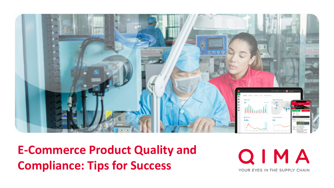

**E-Commerce Product Quality and Compliance: Tips for Success**

QIMA YOUR EYES IN THE SUPPLY CHAIN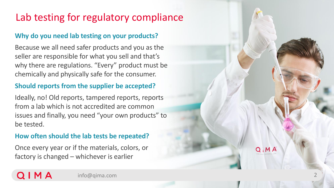# Lab testing for regulatory compliance

#### **Why do you need lab testing on your products?**

Because we all need safer products and you as the seller are responsible for what you sell and that's why there are regulations. "Every" product must be chemically and physically safe for the consumer.

#### **Should reports from the supplier be accepted?**

Ideally, no! Old reports, tampered reports, reports from a lab which is not accredited are common issues and finally, you need "your own products" to be tested.

#### **How often should the lab tests be repeated?**

Once every year or if the materials, colors, or factory is changed – whichever is earlier

QIMA

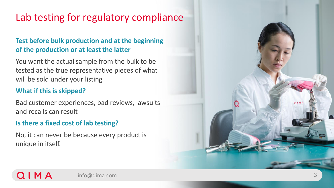# Lab testing for regulatory compliance

#### **Test before bulk production and at the beginning of the production or at least the latter**

You want the actual sample from the bulk to be tested as the true representative pieces of what will be sold under your listing

#### **What if this is skipped?**

Bad customer experiences, bad reviews, lawsuits and recalls can result

#### **Is there a fixed cost of lab testing?**

No, it can never be because every product is unique in itself.

 $QIN$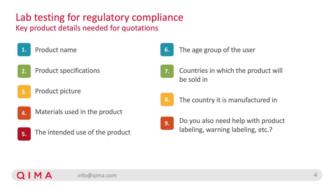# Lab testing for regulatory compliance

Key product details needed for quotations

- 1. Product name
- Product specifications **2.**
- Product picture **3.**
- Materials used in the product **4.**



0 I M A

The intended use of the product



The age group of the user



2. Countries in which the product will be sold in



The country it is manufactured in



4. Do you also need help with product labeling, warning labeling, etc.?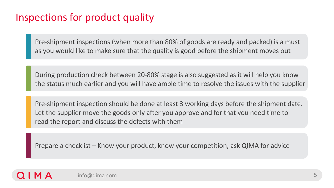### Inspections for product quality

Pre-shipment inspections (when more than 80% of goods are ready and packed) is a must as you would like to make sure that the quality is good before the shipment moves out

During production check between 20-80% stage is also suggested as it will help you know the status much earlier and you will have ample time to resolve the issues with the supplier

Pre-shipment inspection should be done at least 3 working days before the shipment date. Let the supplier move the goods only after you approve and for that you need time to read the report and discuss the defects with them

Prepare a checklist – Know your product, know your competition, ask QIMA for advice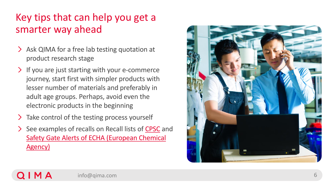### Key tips that can help you get a smarter way ahead

- > Ask QIMA for a free lab testing quotation at product research stage
- If you are just starting with your e -commerce iourney, start first with simpler products with lesser number of materials and preferably in adult age groups. Perhaps, avoid even the electronic products in the beginning
- $\sum$  Take control of the testing process yourself

QIMA

See examples of recalls on Recall lists of [CPSC](https://www.cpsc.gov/Recalls) and [Safety Gate Alerts of ECHA \(European Chemical](https://ec.europa.eu/safety-gate-alerts/screen/webReport)  Agency)

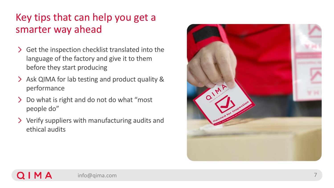### Key tips that can help you get a smarter way ahead

- S Get the inspection checklist translated into the language of the factory and give it to them before they start producing
- Ask QIMA for lab testing and product quality & performance
- $\sum$ Do what is right and do not do what "most people do"
- Verify suppliers with manufacturing audits and ethical audits



Q I M A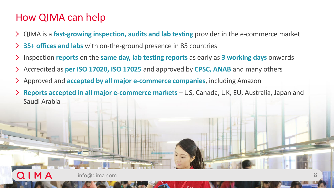### How QIMA can help

0 I M A

- QIMA is a **fast-growing inspection, audits and lab testing** provider in the e-commerce market
- **35+ offices and labs** with on-the-ground presence in 85 countries
- Inspection **reports** on the **same day, lab testing reports** as early as **3 working days** onwards
- Accredited as **per ISO 17020, ISO 17025** and approved by **CPSC, ANAB** and many others  $\sum$
- Approved and **accepted by all major e-commerce companies**, including Amazon  $\sum$
- **Reports accepted in all major e-commerce markets**  US, Canada, UK, EU, Australia, Japan and Saudi Arabia